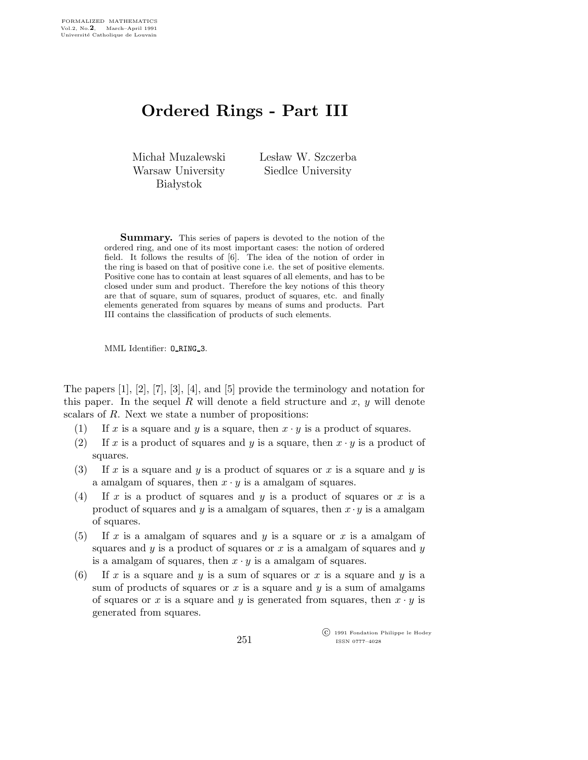## Ordered Rings - Part III

Michał Muzalewski Warsaw University **Białystok** 

Lesław W. Szczerba Siedlce University

Summary. This series of papers is devoted to the notion of the ordered ring, and one of its most important cases: the notion of ordered field. It follows the results of [6]. The idea of the notion of order in the ring is based on that of positive cone i.e. the set of positive elements. Positive cone has to contain at least squares of all elements, and has to be closed under sum and product. Therefore the key notions of this theory are that of square, sum of squares, product of squares, etc. and finally elements generated from squares by means of sums and products. Part III contains the classification of products of such elements.

MML Identifier: O RING 3.

The papers [1], [2], [7], [3], [4], and [5] provide the terminology and notation for this paper. In the sequel R will denote a field structure and  $x, y$  will denote scalars of R. Next we state a number of propositions:

- (1) If x is a square and y is a square, then  $x \cdot y$  is a product of squares.
- (2) If x is a product of squares and y is a square, then  $x \cdot y$  is a product of squares.
- (3) If x is a square and y is a product of squares or x is a square and y is a amalgam of squares, then  $x \cdot y$  is a amalgam of squares.
- (4) If x is a product of squares and y is a product of squares or x is a product of squares and y is a amalgam of squares, then  $x \cdot y$  is a amalgam of squares.
- (5) If x is a amalgam of squares and y is a square or x is a amalgam of squares and  $y$  is a product of squares or  $x$  is a amalgam of squares and  $y$ is a amalgam of squares, then  $x \cdot y$  is a amalgam of squares.
- (6) If x is a square and y is a sum of squares or x is a square and y is a sum of products of squares or x is a square and  $y$  is a sum of amalgams of squares or x is a square and y is generated from squares, then  $x \cdot y$  is generated from squares.

 c 1991 Fondation Philippe le Hodey ISSN 0777–4028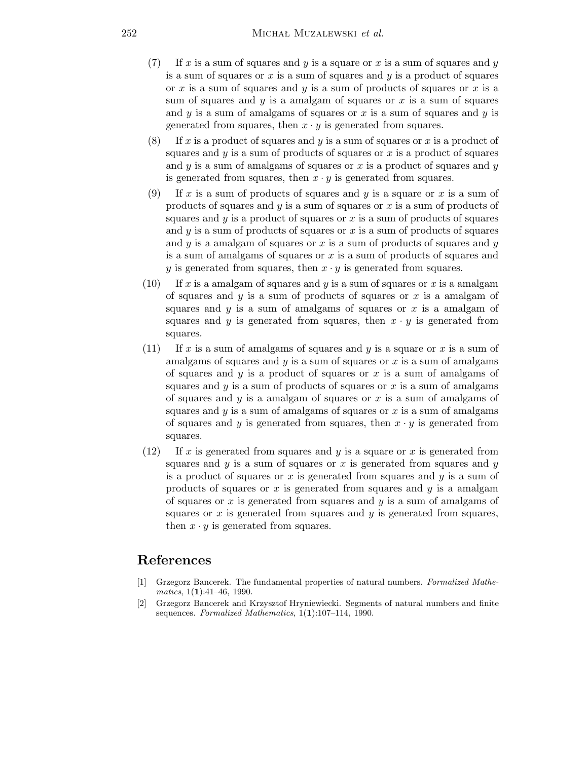- $(7)$  If x is a sum of squares and y is a square or x is a sum of squares and y is a sum of squares or x is a sum of squares and  $y$  is a product of squares or x is a sum of squares and y is a sum of products of squares or x is a sum of squares and  $y$  is a amalgam of squares or  $x$  is a sum of squares and  $y$  is a sum of amalgams of squares or  $x$  is a sum of squares and  $y$  is generated from squares, then  $x \cdot y$  is generated from squares.
- (8) If x is a product of squares and y is a sum of squares or x is a product of squares and  $y$  is a sum of products of squares or  $x$  is a product of squares and  $y$  is a sum of amalgams of squares or  $x$  is a product of squares and  $y$ is generated from squares, then  $x \cdot y$  is generated from squares.
- (9) If x is a sum of products of squares and y is a square or x is a sum of products of squares and  $y$  is a sum of squares or  $x$  is a sum of products of squares and  $y$  is a product of squares or  $x$  is a sum of products of squares and  $y$  is a sum of products of squares or  $x$  is a sum of products of squares and  $y$  is a amalgam of squares or  $x$  is a sum of products of squares and  $y$ is a sum of amalgams of squares or x is a sum of products of squares and y is generated from squares, then  $x \cdot y$  is generated from squares.
- (10) If x is a amalgam of squares and y is a sum of squares or x is a amalgam of squares and  $y$  is a sum of products of squares or  $x$  is a amalgam of squares and  $y$  is a sum of amalgams of squares or x is a amalgam of squares and y is generated from squares, then  $x \cdot y$  is generated from squares.
- (11) If x is a sum of amalgams of squares and y is a square or x is a sum of amalgams of squares and  $y$  is a sum of squares or  $x$  is a sum of amalgams of squares and  $y$  is a product of squares or  $x$  is a sum of amalgams of squares and  $y$  is a sum of products of squares or  $x$  is a sum of amalgams of squares and  $y$  is a amalgam of squares or  $x$  is a sum of amalgams of squares and  $y$  is a sum of amalgams of squares or  $x$  is a sum of amalgams of squares and y is generated from squares, then  $x \cdot y$  is generated from squares.
- $(12)$  If x is generated from squares and y is a square or x is generated from squares and  $y$  is a sum of squares or  $x$  is generated from squares and  $y$ is a product of squares or x is generated from squares and  $y$  is a sum of products of squares or x is generated from squares and  $y$  is a amalgam of squares or  $x$  is generated from squares and  $y$  is a sum of amalgams of squares or  $x$  is generated from squares and  $y$  is generated from squares, then  $x \cdot y$  is generated from squares.

## References

- [1] Grzegorz Bancerek. The fundamental properties of natural numbers. Formalized Mathematics,  $1(1):41-46$ , 1990.
- [2] Grzegorz Bancerek and Krzysztof Hryniewiecki. Segments of natural numbers and finite sequences. Formalized Mathematics, 1(1):107-114, 1990.